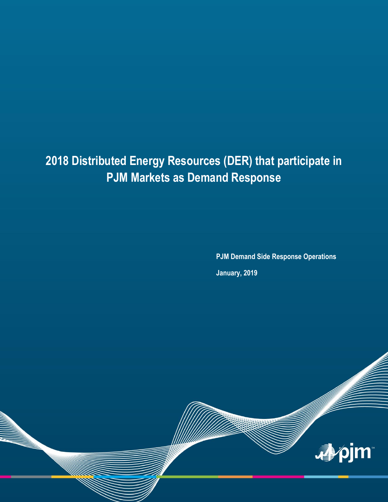## **2018 Distributed Energy Resources (DER) that participate in PJM Markets as Demand Response**

**PJM Demand Side Response Operations January, 2019**

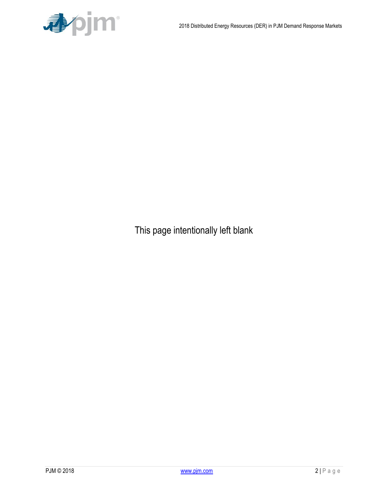

This page intentionally left blank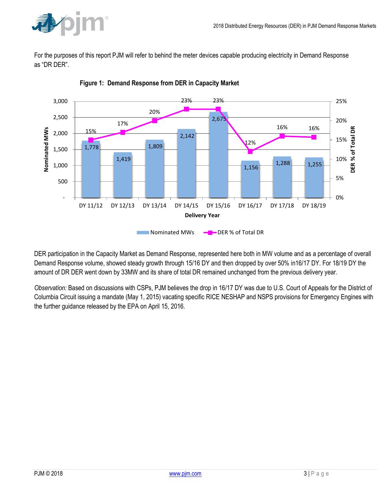

For the purposes of this report PJM will refer to behind the meter devices capable producing electricity in Demand Response as "DR DER".





DER participation in the Capacity Market as Demand Response, represented here both in MW volume and as a percentage of overall Demand Response volume, showed steady growth through 15/16 DY and then dropped by over 50% in16/17 DY. For 18/19 DY the amount of DR DER went down by 33MW and its share of total DR remained unchanged from the previous delivery year.

*Observation:* Based on discussions with CSPs, PJM believes the drop in 16/17 DY was due to U.S. Court of Appeals for the District of Columbia Circuit issuing a mandate (May 1, 2015) vacating specific RICE NESHAP and NSPS provisions for Emergency Engines with the further guidance released by the EPA on April 15, 2016.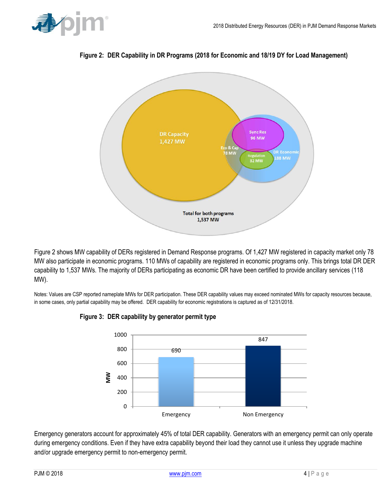



**Figure 2: DER Capability in DR Programs (2018 for Economic and 18/19 DY for Load Management)**

Figure 2 shows MW capability of DERs registered in Demand Response programs. Of 1,427 MW registered in capacity market only 78 MW also participate in economic programs. 110 MWs of capability are registered in economic programs only. This brings total DR DER capability to 1,537 MWs. The majority of DERs participating as economic DR have been certified to provide ancillary services (118 MW).

Notes: Values are CSP reported nameplate MWs for DER participation. These DER capability values may exceed nominated MWs for capacity resources because, in some cases, only partial capability may be offered. DER capability for economic registrations is captured as of 12/31/2018.



## **Figure 3: DER capability by generator permit type**

Emergency generators account for approximately 45% of total DER capability. Generators with an emergency permit can only operate during emergency conditions. Even if they have extra capability beyond their load they cannot use it unless they upgrade machine and/or upgrade emergency permit to non-emergency permit.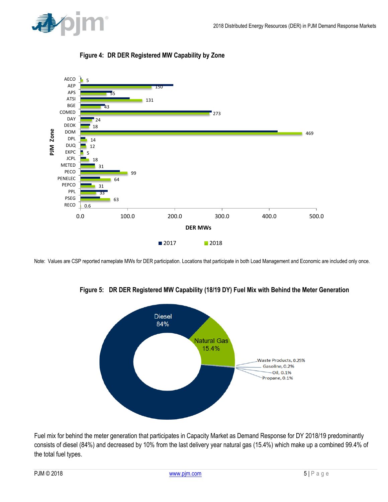



## **Figure 4: DR DER Registered MW Capability by Zone**

Note: Values are CSP reported nameplate MWs for DER participation. Locations that participate in both Load Management and Economic are included only once.



**Figure 5: DR DER Registered MW Capability (18/19 DY) Fuel Mix with Behind the Meter Generation**

Fuel mix for behind the meter generation that participates in Capacity Market as Demand Response for DY 2018/19 predominantly consists of diesel (84%) and decreased by 10% from the last delivery year natural gas (15.4%) which make up a combined 99.4% of the total fuel types.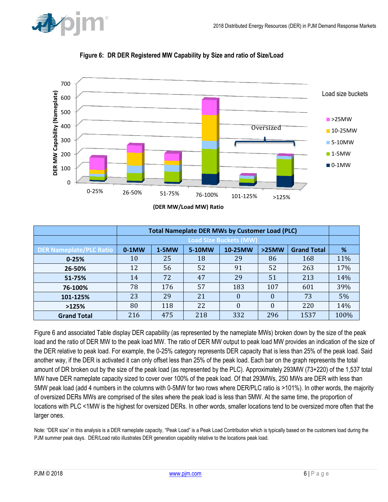



**Figure 6: DR DER Registered MW Capability by Size and ratio of Size/Load**

|                                | <b>Total Nameplate DER MWs by Customer Load (PLC)</b> |         |        |          |          |                    |      |
|--------------------------------|-------------------------------------------------------|---------|--------|----------|----------|--------------------|------|
|                                | <b>Load Size Buckets (MW)</b>                         |         |        |          |          |                    |      |
| <b>DER Nameplate/PLC Ratio</b> | $0-1MW$                                               | $1-5MW$ | 5-10MW | 10-25MW  | >25MW    | <b>Grand Total</b> | %    |
| $0 - 25%$                      | 10                                                    | 25      | 18     | 29       | 86       | 168                | 11%  |
| 26-50%                         | 12                                                    | 56      | 52     | 91       | 52       | 263                | 17%  |
| 51-75%                         | 14                                                    | 72      | 47     | 29       | 51       | 213                | 14%  |
| 76-100%                        | 78                                                    | 176     | 57     | 183      | 107      | 601                | 39%  |
| 101-125%                       | 23                                                    | 29      | 21     | $\Omega$ | $\theta$ | 73                 | 5%   |
| >125%                          | 80                                                    | 118     | 22     | $\Omega$ | $\Omega$ | 220                | 14%  |
| <b>Grand Total</b>             | 216                                                   | 475     | 218    | 332      | 296      | 1537               | 100% |

Figure 6 and associated Table display DER capability (as represented by the nameplate MWs) broken down by the size of the peak load and the ratio of DER MW to the peak load MW. The ratio of DER MW output to peak load MW provides an indication of the size of the DER relative to peak load. For example, the 0-25% category represents DER capacity that is less than 25% of the peak load. Said another way, if the DER is activated it can only offset less than 25% of the peak load. Each bar on the graph represents the total amount of DR broken out by the size of the peak load (as represented by the PLC). Approximately 293MW (73+220) of the 1,537 total MW have DER nameplate capacity sized to cover over 100% of the peak load. Of that 293MWs, 250 MWs are DER with less than 5MW peak load (add 4 numbers in the columns with 0-5MW for two rows where DER/PLC ratio is >101%). In other words, the majority of oversized DERs MWs are comprised of the sites where the peak load is less than 5MW. At the same time, the proportion of locations with PLC <1MW is the highest for oversized DERs. In other words, smaller locations tend to be oversized more often that the larger ones.

Note: "DER size" in this analysis is a DER nameplate capacity, "Peak Load" is a Peak Load Contribution which is typically based on the customers load during the PJM summer peak days. DER/Load ratio illustrates DER generation capability relative to the locations peak load.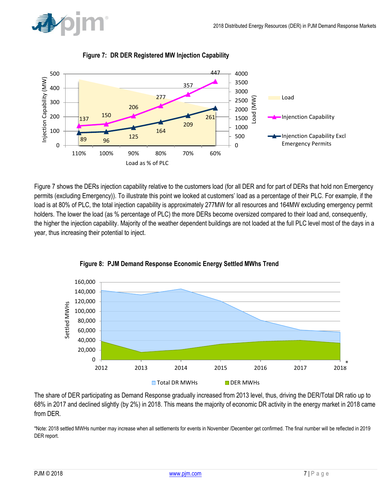



**Figure 7: DR DER Registered MW Injection Capability** 

Figure 7 shows the DERs injection capability relative to the customers load (for all DER and for part of DERs that hold non Emergency permits (excluding Emergency)). To illustrate this point we looked at customers' load as a percentage of their PLC. For example, if the load is at 80% of PLC, the total injection capability is approximately 277MW for all resources and 164MW excluding emergency permit holders. The lower the load (as % percentage of PLC) the more DERs become oversized compared to their load and, consequently, the higher the injection capability. Majority of the weather dependent buildings are not loaded at the full PLC level most of the days in a year, thus increasing their potential to inject.



**Figure 8: PJM Demand Response Economic Energy Settled MWhs Trend**

The share of DER participating as Demand Response gradually increased from 2013 level, thus, driving the DER/Total DR ratio up to 68% in 2017 and declined slightly (by 2%) in 2018. This means the majority of economic DR activity in the energy market in 2018 came from DER.

\*Note: 2018 settled MWHs number may increase when all settlements for events in November /December get confirmed. The final number will be reflected in 2019 DER report.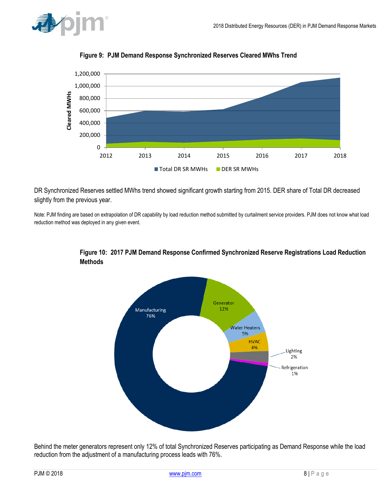



**Figure 9: PJM Demand Response Synchronized Reserves Cleared MWhs Trend**

DR Synchronized Reserves settled MWhs trend showed significant growth starting from 2015. DER share of Total DR decreased slightly from the previous year.

Note: PJM finding are based on extrapolation of DR capability by load reduction method submitted by curtailment service providers. PJM does not know what load reduction method was deployed in any given event.



## **Figure 10: 2017 PJM Demand Response Confirmed Synchronized Reserve Registrations Load Reduction Methods**

Behind the meter generators represent only 12% of total Synchronized Reserves participating as Demand Response while the load reduction from the adjustment of a manufacturing process leads with 76%.